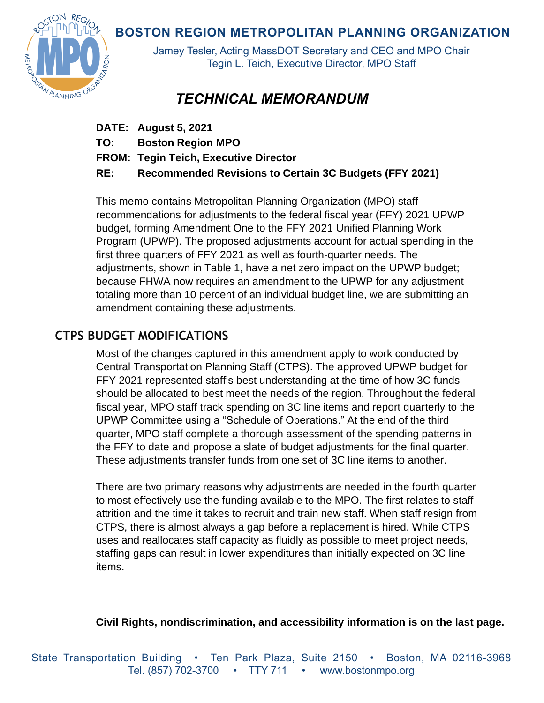**BOSTON REGION METROPOLITAN PLANNING ORGANIZATION** 



Jamey Tesler, Acting MassDOT Secretary and CEO and MPO Chair Tegin L. Teich, Executive Director, MPO Staff

# *TECHNICAL MEMORANDUM*

- **DATE: August 5, 2021**
- **TO: Boston Region MPO**
- **FROM: Tegin Teich, Executive Director**
- **RE: Recommended Revisions to Certain 3C Budgets (FFY 2021)**

This memo contains Metropolitan Planning Organization (MPO) staff recommendations for adjustments to the federal fiscal year (FFY) 2021 UPWP budget, forming Amendment One to the FFY 2021 Unified Planning Work Program (UPWP). The proposed adjustments account for actual spending in the first three quarters of FFY 2021 as well as fourth-quarter needs. The adjustments, shown in Table 1, have a net zero impact on the UPWP budget; because FHWA now requires an amendment to the UPWP for any adjustment totaling more than 10 percent of an individual budget line, we are submitting an amendment containing these adjustments.

## **CTPS BUDGET MODIFICATIONS**

Most of the changes captured in this amendment apply to work conducted by Central Transportation Planning Staff (CTPS). The approved UPWP budget for FFY 2021 represented staff's best understanding at the time of how 3C funds should be allocated to best meet the needs of the region. Throughout the federal fiscal year, MPO staff track spending on 3C line items and report quarterly to the UPWP Committee using a "Schedule of Operations." At the end of the third quarter, MPO staff complete a thorough assessment of the spending patterns in the FFY to date and propose a slate of budget adjustments for the final quarter. These adjustments transfer funds from one set of 3C line items to another.

There are two primary reasons why adjustments are needed in the fourth quarter to most effectively use the funding available to the MPO. The first relates to staff attrition and the time it takes to recruit and train new staff. When staff resign from CTPS, there is almost always a gap before a replacement is hired. While CTPS uses and reallocates staff capacity as fluidly as possible to meet project needs, staffing gaps can result in lower expenditures than initially expected on 3C line items.

**Civil Rights, nondiscrimination, and accessibility information is on the last page.**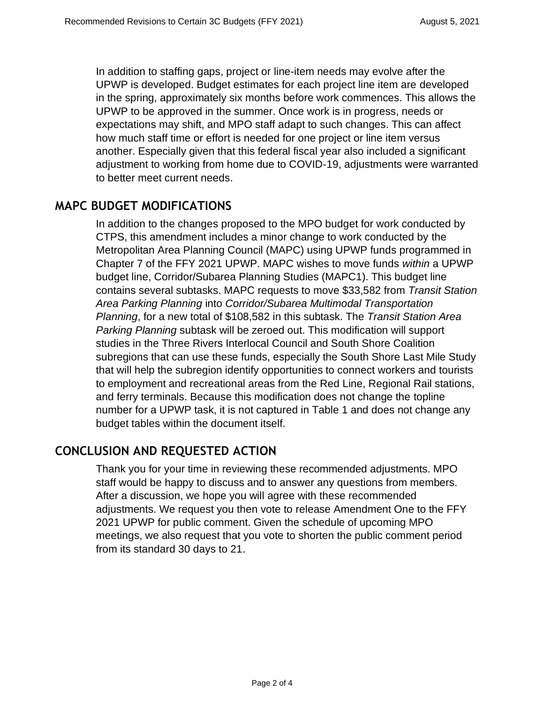In addition to staffing gaps, project or line-item needs may evolve after the UPWP is developed. Budget estimates for each project line item are developed in the spring, approximately six months before work commences. This allows the UPWP to be approved in the summer. Once work is in progress, needs or expectations may shift, and MPO staff adapt to such changes. This can affect how much staff time or effort is needed for one project or line item versus another. Especially given that this federal fiscal year also included a significant adjustment to working from home due to COVID-19, adjustments were warranted to better meet current needs.

#### **MAPC BUDGET MODIFICATIONS**

In addition to the changes proposed to the MPO budget for work conducted by CTPS, this amendment includes a minor change to work conducted by the Metropolitan Area Planning Council (MAPC) using UPWP funds programmed in Chapter 7 of the FFY 2021 UPWP. MAPC wishes to move funds *within* a UPWP budget line, Corridor/Subarea Planning Studies (MAPC1). This budget line contains several subtasks. MAPC requests to move \$33,582 from *Transit Station Area Parking Planning* into *Corridor/Subarea Multimodal Transportation Planning*, for a new total of \$108,582 in this subtask. The *Transit Station Area Parking Planning* subtask will be zeroed out. This modification will support studies in the Three Rivers Interlocal Council and South Shore Coalition subregions that can use these funds, especially the South Shore Last Mile Study that will help the subregion identify opportunities to connect workers and tourists to employment and recreational areas from the Red Line, Regional Rail stations, and ferry terminals. Because this modification does not change the topline number for a UPWP task, it is not captured in Table 1 and does not change any budget tables within the document itself.

### **CONCLUSION AND REQUESTED ACTION**

Thank you for your time in reviewing these recommended adjustments. MPO staff would be happy to discuss and to answer any questions from members. After a discussion, we hope you will agree with these recommended adjustments. We request you then vote to release Amendment One to the FFY 2021 UPWP for public comment. Given the schedule of upcoming MPO meetings, we also request that you vote to shorten the public comment period from its standard 30 days to 21.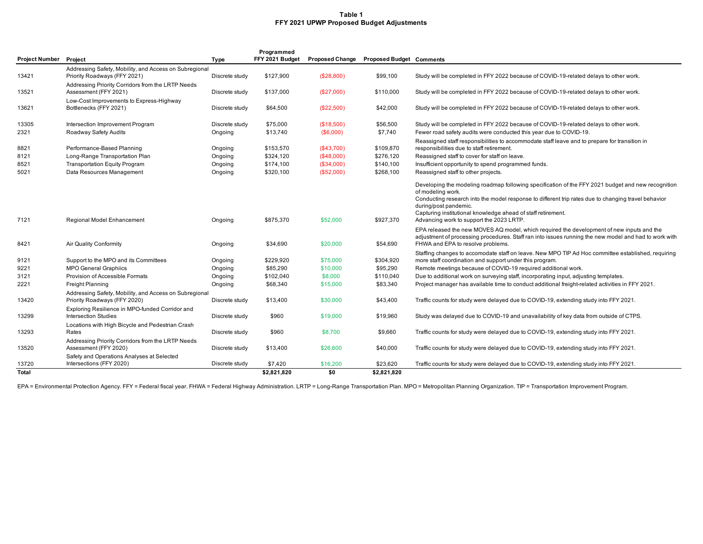#### **Table 1 FFY 2021 UPWP Proposed Budget Adjustments**

|                        |                                                        |                | Programmed      |                        |                                 |                                                                                                                                                                                                    |
|------------------------|--------------------------------------------------------|----------------|-----------------|------------------------|---------------------------------|----------------------------------------------------------------------------------------------------------------------------------------------------------------------------------------------------|
| Project Number Project |                                                        | <b>Type</b>    | FFY 2021 Budget | <b>Proposed Change</b> | <b>Proposed Budget Comments</b> |                                                                                                                                                                                                    |
|                        | Addressing Safety, Mobility, and Access on Subregional |                |                 |                        |                                 |                                                                                                                                                                                                    |
| 13421                  | Priority Roadways (FFY 2021)                           | Discrete study | \$127,900       | (\$28,800)             | \$99,100                        | Study will be completed in FFY 2022 because of COVID-19-related delays to other work.                                                                                                              |
|                        | Addressing Priority Corridors from the LRTP Needs      |                |                 |                        |                                 |                                                                                                                                                                                                    |
| 13521                  | Assessment (FFY 2021)                                  | Discrete study | \$137,000       | (\$27,000)             | \$110,000                       | Study will be completed in FFY 2022 because of COVID-19-related delays to other work.                                                                                                              |
|                        | Low-Cost Improvements to Express-Highway               |                |                 |                        |                                 |                                                                                                                                                                                                    |
| 13621                  | Bottlenecks (FFY 2021)                                 | Discrete study | \$64,500        | (\$22,500)             | \$42,000                        | Study will be completed in FFY 2022 because of COVID-19-related delays to other work.                                                                                                              |
| 13305                  | Intersection Improvement Program                       | Discrete study | \$75,000        | (\$18,500)             | \$56,500                        | Study will be completed in FFY 2022 because of COVID-19-related delays to other work.                                                                                                              |
| 2321                   | Roadway Safety Audits                                  | Ongoing        | \$13,740        | (\$6,000)              | \$7,740                         | Fewer road safety audits were conducted this year due to COVID-19.                                                                                                                                 |
|                        |                                                        |                |                 |                        |                                 | Reassigned staff responsibilities to accommodate staff leave and to prepare for transition in                                                                                                      |
| 8821                   | Performance-Based Planning                             | Ongoing        | \$153,570       | (\$43,700)             | \$109,870                       | responsibilities due to staff retirement.                                                                                                                                                          |
| 8121                   | Long-Range Transportation Plan                         | Ongoing        | \$324,120       | (\$48,000)             | \$276,120                       | Reassigned staff to cover for staff on leave.                                                                                                                                                      |
| 8521                   | <b>Transportation Equity Program</b>                   | Ongoing        | \$174,100       | (\$34,000)             | \$140,100                       | Insufficient opportunity to spend programmed funds.                                                                                                                                                |
| 5021                   | Data Resources Management                              | Ongoing        | \$320,100       | (\$52,000)             | \$268,100                       | Reassigned staff to other projects.                                                                                                                                                                |
|                        |                                                        |                |                 |                        |                                 | Developing the modeling roadmap following specification of the FFY 2021 budget and new recognition                                                                                                 |
|                        |                                                        |                |                 |                        |                                 | of modeling work.                                                                                                                                                                                  |
|                        |                                                        |                |                 |                        |                                 | Conducting research into the model response to different trip rates due to changing travel behavior                                                                                                |
|                        |                                                        |                |                 |                        |                                 | during/post pandemic.                                                                                                                                                                              |
| 7121                   | Regional Model Enhancement                             | Ongoing        | \$875,370       | \$52,000               | \$927,370                       | Capturing institutional knowledge ahead of staff retirement.<br>Advancing work to support the 2023 LRTP.                                                                                           |
|                        |                                                        |                |                 |                        |                                 |                                                                                                                                                                                                    |
|                        |                                                        |                |                 |                        |                                 | EPA released the new MOVES AQ model, which required the development of new inputs and the<br>adjustment of processing procedures. Staff ran into issues running the new model and had to work with |
| 8421                   | <b>Air Quality Conformity</b>                          | Ongoing        | \$34,690        | \$20,000               | \$54,690                        | FHWA and EPA to resolve problems.                                                                                                                                                                  |
|                        |                                                        |                |                 |                        |                                 | Staffing changes to accomodate staff on leave. New MPO TIP Ad Hoc committee established, requiring                                                                                                 |
| 9121                   | Support to the MPO and its Committees                  | Ongoing        | \$229,920       | \$75,000               | \$304,920                       | more staff coordination and support under this program.                                                                                                                                            |
| 9221                   | <b>MPO General Graphiics</b>                           | Ongoing        | \$85,290        | \$10,000               | \$95,290                        | Remote meetings because of COVID-19 required additional work.                                                                                                                                      |
| 3121                   | Provision of Accessible Formats                        | Ongoing        | \$102,040       | \$8,000                | \$110,040                       | Due to additional work on surveying staff, incorporating input, adjusting templates.                                                                                                               |
| 2221                   | Freight Planning                                       | Ongoing        | \$68,340        | \$15,000               | \$83,340                        | Project manager has available time to conduct additional freight-related activities in FFY 2021.                                                                                                   |
|                        | Addressing Safety, Mobility, and Access on Subregional |                |                 |                        |                                 |                                                                                                                                                                                                    |
| 13420                  | Priority Roadways (FFY 2020)                           | Discrete study | \$13,400        | \$30,000               | \$43,400                        | Traffic counts for study were delayed due to COVID-19, extending study into FFY 2021.                                                                                                              |
|                        | Exploring Resilience in MPO-funded Corridor and        |                |                 |                        |                                 |                                                                                                                                                                                                    |
| 13299                  | <b>Intersection Studies</b>                            | Discrete study | \$960           | \$19,000               | \$19,960                        | Study was delayed due to COVID-19 and unavailability of key data from outside of CTPS.                                                                                                             |
|                        | Locations with High Bicycle and Pedestrian Crash       |                |                 |                        |                                 |                                                                                                                                                                                                    |
| 13293                  | Rates                                                  | Discrete study | \$960           | \$8,700                | \$9,660                         | Traffic counts for study were delayed due to COVID-19, extending study into FFY 2021.                                                                                                              |
|                        | Addressing Priority Corridors from the LRTP Needs      |                |                 |                        |                                 |                                                                                                                                                                                                    |
| 13520                  | Assessment (FFY 2020)                                  | Discrete study | \$13,400        | \$26,600               | \$40,000                        | Traffic counts for study were delayed due to COVID-19, extending study into FFY 2021.                                                                                                              |
|                        | Safety and Operations Analyses at Selected             |                |                 |                        |                                 |                                                                                                                                                                                                    |
| 13720                  | Intersections (FFY 2020)                               | Discrete study | \$7,420         | \$16,200               | \$23,620                        | Traffic counts for study were delayed due to COVID-19, extending study into FFY 2021.                                                                                                              |
| <b>Total</b>           |                                                        |                | \$2,821,820     | \$0                    | \$2,821,820                     |                                                                                                                                                                                                    |

EPA = Environmental Protection Agency. FFY = Federal fiscal year. FHWA = Federal Highway Administration. LRTP = Long-Range Transportation Plan. MPO = Metropolitan Planning Organization. TIP = Transportation Improvement Pro